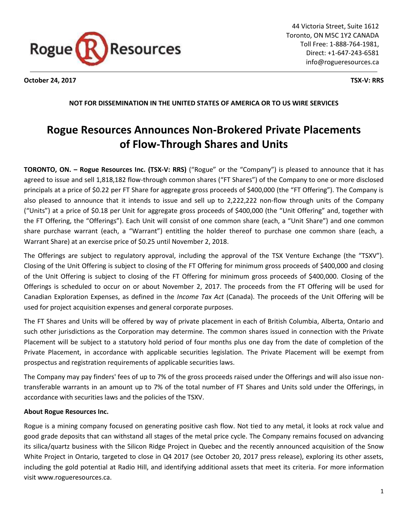

**October 24, 2017 TSX-V: RRS**

**NOT FOR DISSEMINATION IN THE UNITED STATES OF AMERICA OR TO US WIRE SERVICES**

## **Rogue Resources Announces Non-Brokered Private Placements of Flow-Through Shares and Units**

**TORONTO, ON. – Rogue Resources Inc. (TSX-V: RRS)** ("Rogue" or the "Company") is pleased to announce that it has agreed to issue and sell 1,818,182 flow-through common shares ("FT Shares") of the Company to one or more disclosed principals at a price of \$0.22 per FT Share for aggregate gross proceeds of \$400,000 (the "FT Offering"). The Company is also pleased to announce that it intends to issue and sell up to 2,222,222 non-flow through units of the Company ("Units") at a price of \$0.18 per Unit for aggregate gross proceeds of \$400,000 (the "Unit Offering" and, together with the FT Offering, the "Offerings"). Each Unit will consist of one common share (each, a "Unit Share") and one common share purchase warrant (each, a "Warrant") entitling the holder thereof to purchase one common share (each, a Warrant Share) at an exercise price of \$0.25 until November 2, 2018.

The Offerings are subject to regulatory approval, including the approval of the TSX Venture Exchange (the "TSXV"). Closing of the Unit Offering is subject to closing of the FT Offering for minimum gross proceeds of \$400,000 and closing of the Unit Offering is subject to closing of the FT Offering for minimum gross proceeds of \$400,000. Closing of the Offerings is scheduled to occur on or about November 2, 2017. The proceeds from the FT Offering will be used for Canadian Exploration Expenses, as defined in the *Income Tax Act* (Canada). The proceeds of the Unit Offering will be used for project acquisition expenses and general corporate purposes.

The FT Shares and Units will be offered by way of private placement in each of British Columbia, Alberta, Ontario and such other jurisdictions as the Corporation may determine. The common shares issued in connection with the Private Placement will be subject to a statutory hold period of four months plus one day from the date of completion of the Private Placement, in accordance with applicable securities legislation. The Private Placement will be exempt from prospectus and registration requirements of applicable securities laws.

The Company may pay finders' fees of up to 7% of the gross proceeds raised under the Offerings and will also issue nontransferable warrants in an amount up to 7% of the total number of FT Shares and Units sold under the Offerings, in accordance with securities laws and the policies of the TSXV.

## **About Rogue Resources Inc.**

Rogue is a mining company focused on generating positive cash flow. Not tied to any metal, it looks at rock value and good grade deposits that can withstand all stages of the metal price cycle. The Company remains focused on advancing its silica/quartz business with the Silicon Ridge Project in Quebec and the recently announced acquisition of the Snow White Project in Ontario, targeted to close in Q4 2017 (see October 20, 2017 press release), exploring its other assets, including the gold potential at Radio Hill, and identifying additional assets that meet its criteria. For more information visit www.rogueresources.ca.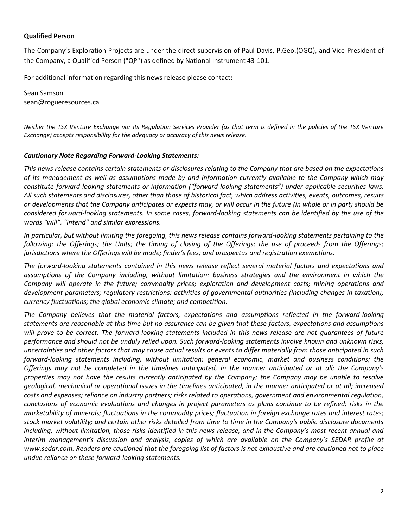## **Qualified Person**

The Company's Exploration Projects are under the direct supervision of Paul Davis, P.Geo.(OGQ), and Vice-President of the Company, a Qualified Person ("QP") as defined by National Instrument 43-101.

For additional information regarding this news release please contact**:**

Sean Samson sean@rogueresources.ca

*Neither the TSX Venture Exchange nor its Regulation Services Provider (as that term is defined in the policies of the TSX Venture Exchange) accepts responsibility for the adequacy or accuracy of this news release.*

## *Cautionary Note Regarding Forward-Looking Statements:*

*This news release contains certain statements or disclosures relating to the Company that are based on the expectations of its management as well as assumptions made by and information currently available to the Company which may constitute forward-looking statements or information ("forward-looking statements") under applicable securities laws. All such statements and disclosures, other than those of historical fact, which address activities, events, outcomes, results or developments that the Company anticipates or expects may, or will occur in the future (in whole or in part) should be considered forward-looking statements. In some cases, forward-looking statements can be identified by the use of the words "will", "intend" and similar expressions.*

*In particular, but without limiting the foregoing, this news release contains forward-looking statements pertaining to the following: the Offerings; the Units; the timing of closing of the Offerings; the use of proceeds from the Offerings; jurisdictions where the Offerings will be made; finder's fees; and prospectus and registration exemptions.*

*The forward-looking statements contained in this news release reflect several material factors and expectations and assumptions of the Company including, without limitation: business strategies and the environment in which the Company will operate in the future; commodity prices; exploration and development costs; mining operations and development parameters; regulatory restrictions; activities of governmental authorities (including changes in taxation); currency fluctuations; the global economic climate; and competition.*

*The Company believes that the material factors, expectations and assumptions reflected in the forward-looking statements are reasonable at this time but no assurance can be given that these factors, expectations and assumptions*  will prove to be correct. The forward-looking statements included in this news release are not guarantees of future *performance and should not be unduly relied upon. Such forward-looking statements involve known and unknown risks, uncertainties and other factors that may cause actual results or events to differ materially from those anticipated in such forward-looking statements including, without limitation: general economic, market and business conditions; the Offerings may not be completed in the timelines anticipated, in the manner anticipated or at all; the Company's properties may not have the results currently anticipated by the Company; the Company may be unable to resolve geological, mechanical or operational issues in the timelines anticipated, in the manner anticipated or at all; increased costs and expenses; reliance on industry partners; risks related to operations, government and environmental regulation, conclusions of economic evaluations and changes in project parameters as plans continue to be refined; risks in the marketability of minerals; fluctuations in the commodity prices; fluctuation in foreign exchange rates and interest rates; stock market volatility; and certain other risks detailed from time to time in the Company's public disclosure documents including, without limitation, those risks identified in this news release, and in the Company's most recent annual and interim management's discussion and analysis, copies of which are available on the Company's SEDAR profile at www.sedar.com. Readers are cautioned that the foregoing list of factors is not exhaustive and are cautioned not to place undue reliance on these forward-looking statements.*